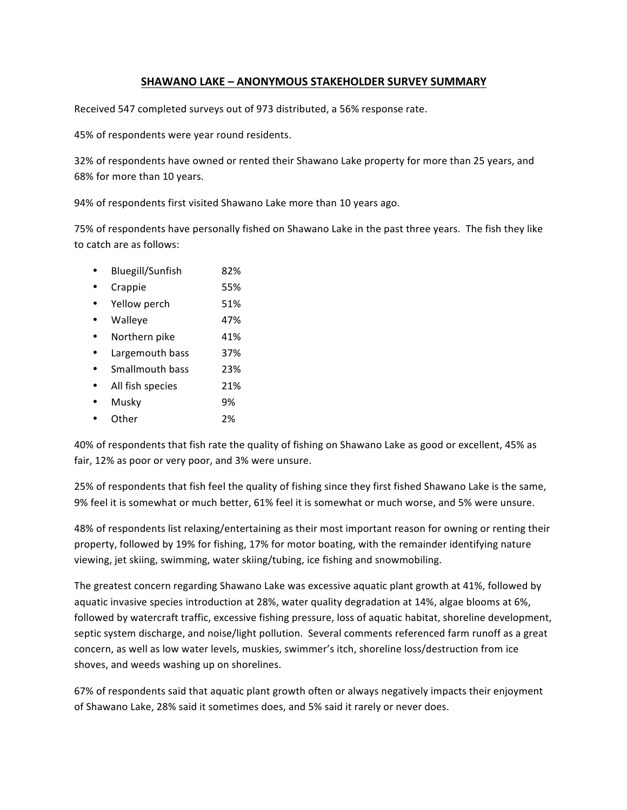## **SHAWANO LAKE – ANONYMOUS STAKEHOLDER SURVEY SUMMARY**

Received 547 completed surveys out of 973 distributed, a 56% response rate.

45% of respondents were year round residents.

32% of respondents have owned or rented their Shawano Lake property for more than 25 years, and 68% for more than 10 years.

94% of respondents first visited Shawano Lake more than 10 years ago.

75% of respondents have personally fished on Shawano Lake in the past three years. The fish they like to catch are as follows:

- Bluegill/Sunfish 82%
- Crappie 55%
- Yellow perch 51%
- Walleye 47%
- Northern pike 41%
- Largemouth bass 37%
- Smallmouth bass 23%
- All fish species 21%
- Musky 9%
- Other 2%

40% of respondents that fish rate the quality of fishing on Shawano Lake as good or excellent, 45% as fair, 12% as poor or very poor, and 3% were unsure.

25% of respondents that fish feel the quality of fishing since they first fished Shawano Lake is the same, 9% feel it is somewhat or much better, 61% feel it is somewhat or much worse, and 5% were unsure.

48% of respondents list relaxing/entertaining as their most important reason for owning or renting their property, followed by 19% for fishing, 17% for motor boating, with the remainder identifying nature viewing, jet skiing, swimming, water skiing/tubing, ice fishing and snowmobiling.

The greatest concern regarding Shawano Lake was excessive aquatic plant growth at 41%, followed by aquatic invasive species introduction at 28%, water quality degradation at 14%, algae blooms at 6%, followed by watercraft traffic, excessive fishing pressure, loss of aquatic habitat, shoreline development, septic system discharge, and noise/light pollution. Several comments referenced farm runoff as a great concern, as well as low water levels, muskies, swimmer's itch, shoreline loss/destruction from ice shoves, and weeds washing up on shorelines.

67% of respondents said that aquatic plant growth often or always negatively impacts their enjoyment of Shawano Lake, 28% said it sometimes does, and 5% said it rarely or never does.